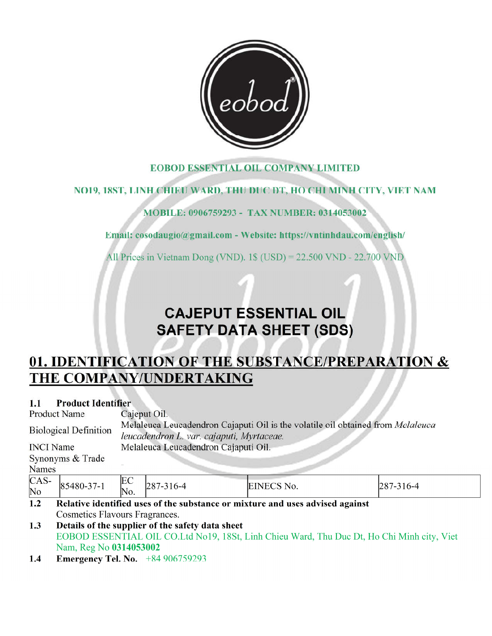

# **EOBOD ESSENTIAL OIL COMPANY LIMITED**

# NO19, 18ST, LINH CHIEU WARD, THU DUC DT, HO CHI MINH CITY, VIET NAM

# MOBILE: 0906759293 - TAX NUMBER: 0314053002

Email: cosodaugio@gmail.com - Website: https://vntinhdau.com/english/

All Prices in Vietnam Dong (VND).  $1\$  (USD) = 22.500 VND - 22.700 VND

# **CAJEPUT ESSENTIAL OIL SAFETY DATA SHEET (SDS)**

# 01. IDENTIFICATION OF THE SUBSTANCE/PREPARATION & THE COMPANY/UNDERTAKING

#### **Product Identifier**  $1.1$

|                                                                                                                                                              | <b>Product Name</b>                                                           | Cajeput Oil. |                 |            |                 |  |
|--------------------------------------------------------------------------------------------------------------------------------------------------------------|-------------------------------------------------------------------------------|--------------|-----------------|------------|-----------------|--|
| Melaleuca Leucadendron Cajaputi Oil is the volatile oil obtained from Melaleuca<br><b>Biological Definition</b><br>leucadendron L. var. cajaputi, Myrtaceae. |                                                                               |              |                 |            |                 |  |
|                                                                                                                                                              | Melaleuca Leucadendron Cajaputi Oil.<br><b>INCI</b> Name                      |              |                 |            |                 |  |
| Synonyms & Trade                                                                                                                                             |                                                                               |              |                 |            |                 |  |
| <b>Names</b>                                                                                                                                                 |                                                                               |              |                 |            |                 |  |
| $CAS-$                                                                                                                                                       | 85480-37-1                                                                    | EC           | $287 - 316 - 4$ | EINECS No. | $287 - 316 - 4$ |  |
| $\overline{\rm No}$                                                                                                                                          |                                                                               | No.          |                 |            |                 |  |
| 1.2                                                                                                                                                          | Relative identified uses of the substance or mixture and uses advised against |              |                 |            |                 |  |
|                                                                                                                                                              | Cosmetics Flavours Fragrances.                                                |              |                 |            |                 |  |

#### $1.3$ Details of the supplier of the safety data sheet EOBOD ESSENTIAL OIL CO.Ltd No19, 18St, Linh Chieu Ward, Thu Duc Dt, Ho Chi Minh city, Viet Nam, Reg No 0314053002

**Emergency Tel. No.**  $+84906759293$  $1.4$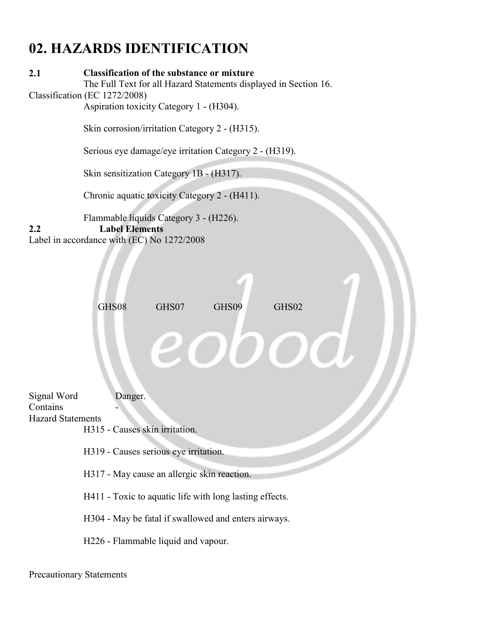# **02. HAZARDS IDENTIFICATION**

### **2.1 Classification of the substance or mixture**

The Full Text for all Hazard Statements displayed in Section 16. Classification (EC 1272/2008)

Aspiration toxicity Category 1 - (H304).

Skin corrosion/irritation Category 2 - (H315).

Serious eye damage/eye irritation Category 2 - (H319).

Skin sensitization Category 1B - (H317).

Chronic aquatic toxicity Category 2 - (H411).

Flammable liquids Category 3 - (H226).

**2.2 Label Elements**

Label in accordance with (EC) No 1272/2008



Signal Word Danger. Contains Hazard Statements

H315 - Causes skin irritation.

H319 - Causes serious eye irritation.

H317 - May cause an allergic skin reaction.

H411 - Toxic to aquatic life with long lasting effects.

H304 - May be fatal if swallowed and enters airways.

H226 - Flammable liquid and vapour.

Precautionary Statements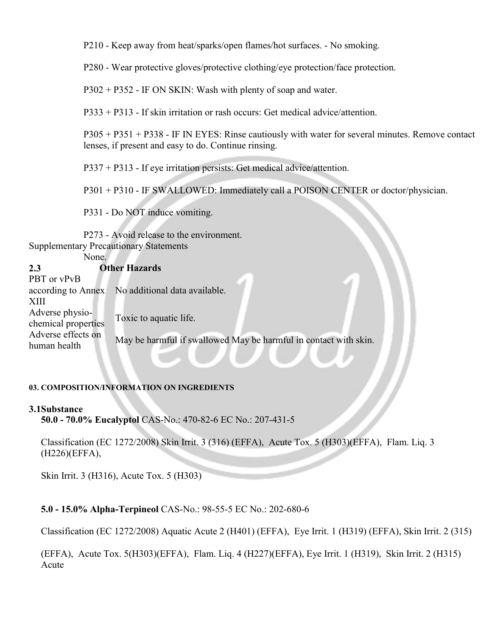P210 - Keep away from heat/sparks/open flames/hot surfaces. - No smoking.

P280 - Wear protective gloves/protective clothing/eye protection/face protection.

P302 + P352 - IF ON SKIN: Wash with plenty of soap and water.

P333 + P313 - If skin irritation or rash occurs: Get medical advice/attention.

P305 + P351 + P338 - IF IN EYES: Rinse cautiously with water for several minutes. Remove contact lenses, if present and easy to do. Continue rinsing.

P337 + P313 - If eye irritation persists: Get medical advice/attention.

P301 + P310 - IF SWALLOWED: Immediately call a POISON CENTER or doctor/physician.

P331 - Do NOT induce vomiting.

P273 - Avoid release to the environment. Supplementary Precautionary Statements

None.

| <b>Other Hazards</b>                             |                                                                                            |
|--------------------------------------------------|--------------------------------------------------------------------------------------------|
|                                                  |                                                                                            |
| according to Annex No additional data available. |                                                                                            |
|                                                  |                                                                                            |
|                                                  |                                                                                            |
|                                                  |                                                                                            |
|                                                  |                                                                                            |
|                                                  |                                                                                            |
|                                                  | Toxic to aquatic life.<br>May be harmful if swallowed May be harmful in contact with skin. |

#### **03. COMPOSITION/INFORMATION ON INGREDIENTS**

#### **3.1Substance**

**50.0 - 70.0% Eucalyptol** CAS-No.: 470-82-6 EC No.: 207-431-5

Classification (EC 1272/2008) Skin Irrit. 3 (316) (EFFA), Acute Tox. 5 (H303)(EFFA), Flam. Liq. 3 (H226)(EFFA),

Skin Irrit. 3 (H316), Acute Tox. 5 (H303)

#### **5.0 - 15.0% Alpha-Terpineol** CAS-No.: 98-55-5 EC No.: 202-680-6

Classification (EC 1272/2008) Aquatic Acute 2 (H401) (EFFA), Eye Irrit. 1 (H319) (EFFA), Skin Irrit. 2 (315)

(EFFA), Acute Tox. 5(H303)(EFFA), Flam. Liq. 4 (H227)(EFFA), Eye Irrit. 1 (H319), Skin Irrit. 2 (H315) Acute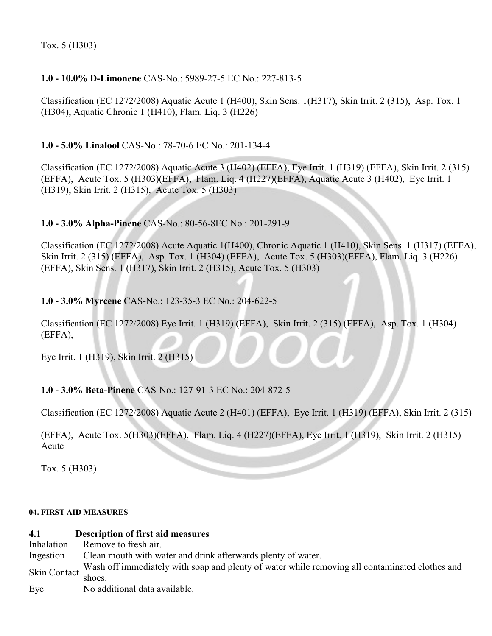Tox. 5 (H303)

### **1.0 - 10.0% D-Limonene** CAS-No.: 5989-27-5 EC No.: 227-813-5

Classification (EC 1272/2008) Aquatic Acute 1 (H400), Skin Sens. 1(H317), Skin Irrit. 2 (315), Asp. Tox. 1 (H304), Aquatic Chronic 1 (H410), Flam. Liq. 3 (H226)

**1.0 - 5.0% Linalool** CAS-No.: 78-70-6 EC No.: 201-134-4

Classification (EC 1272/2008) Aquatic Acute 3 (H402) (EFFA), Eye Irrit. 1 (H319) (EFFA), Skin Irrit. 2 (315) (EFFA), Acute Tox. 5 (H303)(EFFA), Flam. Liq. 4 (H227)(EFFA), Aquatic Acute 3 (H402), Eye Irrit. 1 (H319), Skin Irrit. 2 (H315), Acute Tox. 5 (H303)

#### **1.0 - 3.0% Alpha-Pinene** CAS-No.: 80-56-8EC No.: 201-291-9

Classification (EC 1272/2008) Acute Aquatic 1(H400), Chronic Aquatic 1 (H410), Skin Sens. 1 (H317) (EFFA), Skin Irrit. 2 (315) (EFFA), Asp. Tox. 1 (H304) (EFFA), Acute Tox. 5 (H303)(EFFA), Flam. Liq. 3 (H226) (EFFA), Skin Sens. 1 (H317), Skin Irrit. 2 (H315), Acute Tox. 5 (H303)

### **1.0 - 3.0% Myrcene** CAS-No.: 123-35-3 EC No.: 204-622-5

Classification (EC 1272/2008) Eye Irrit. 1 (H319) (EFFA), Skin Irrit. 2 (315) (EFFA), Asp. Tox. 1 (H304) (EFFA),

Eye Irrit. 1 (H319), Skin Irrit. 2 (H315)

#### **1.0 - 3.0% Beta-Pinene** CAS-No.: 127-91-3 EC No.: 204-872-5

Classification (EC 1272/2008) Aquatic Acute 2 (H401) (EFFA), Eye Irrit. 1 (H319) (EFFA), Skin Irrit. 2 (315)

(EFFA), Acute Tox. 5(H303)(EFFA), Flam. Liq. 4 (H227)(EFFA), Eye Irrit. 1 (H319), Skin Irrit. 2 (H315) Acute

Tox. 5 (H303)

#### **04. FIRST AID MEASURES**

# **4.1 Description of first aid measures**

Remove to fresh air.

Ingestion Clean mouth with water and drink afterwards plenty of water.

Skin Contact Wash off immediately with soap and plenty of water while removing all contaminated clothes and shoes.

Eye No additional data available.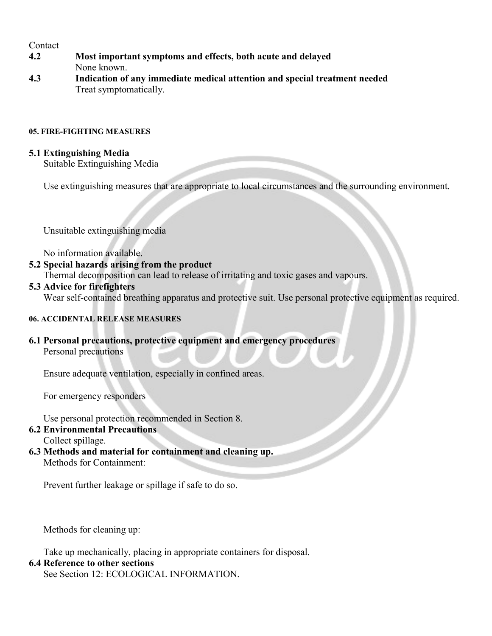#### **Contact**

- **4.2 Most important symptoms and effects, both acute and delayed** None known.
- **4.3 Indication of any immediate medical attention and special treatment needed** Treat symptomatically.

#### **05. FIRE-FIGHTING MEASURES**

#### **5.1 Extinguishing Media**

Suitable Extinguishing Media

Use extinguishing measures that are appropriate to local circumstances and the surrounding environment.

Unsuitable extinguishing media

No information available.

### **5.2 Special hazards arising from the product**

Thermal decomposition can lead to release of irritating and toxic gases and vapours.

#### **5.3 Advice for firefighters**

Wear self-contained breathing apparatus and protective suit. Use personal protective equipment as required.

#### **06. ACCIDENTAL RELEASE MEASURES**

**6.1 Personal precautions, protective equipment and emergency procedures** Personal precautions

Ensure adequate ventilation, especially in confined areas.

For emergency responders

Use personal protection recommended in Section 8.

# **6.2 Environmental Precautions**

Collect spillage.

**6.3 Methods and material for containment and cleaning up.** Methods for Containment:

Prevent further leakage or spillage if safe to do so.

Methods for cleaning up:

Take up mechanically, placing in appropriate containers for disposal.

#### **6.4 Reference to other sections**

See Section 12: ECOLOGICAL INFORMATION.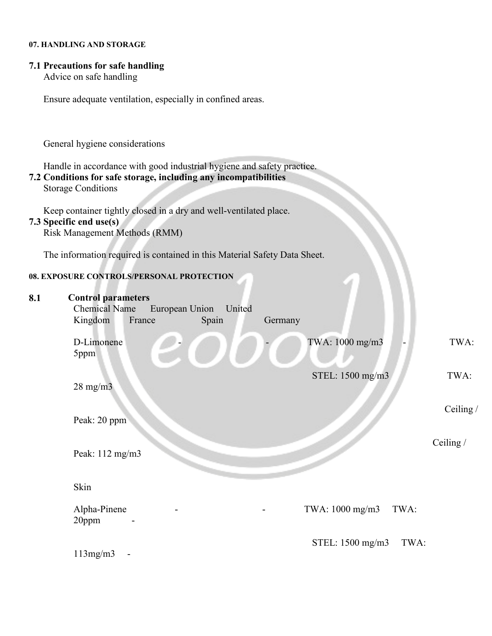#### **07. HANDLING AND STORAGE**

### **7.1 Precautions for safe handling**

Advice on safe handling

Ensure adequate ventilation, especially in confined areas.

General hygiene considerations

Handle in accordance with good industrial hygiene and safety practice.

#### **7.2 Conditions for safe storage, including any incompatibilities**

Storage Conditions

Keep container tightly closed in a dry and well-ventilated place.

#### **7.3 Specific end use(s)**

Risk Management Methods (RMM)

The information required is contained in this Material Safety Data Sheet.

#### **08. EXPOSURE CONTROLS/PERSONAL PROTECTION**

| 8.1 | <b>Control parameters</b><br><b>Chemical Name</b><br>European Union<br>United<br>Kingdom<br>France<br>Spain | Germany                  |           |
|-----|-------------------------------------------------------------------------------------------------------------|--------------------------|-----------|
|     | D-Limonene<br>5ppm                                                                                          | TWA: 1000 mg/m3          | TWA:      |
|     | $28 \text{ mg/m}$                                                                                           | STEL: 1500 mg/m3         | TWA:      |
|     | Peak: 20 ppm                                                                                                |                          | Ceiling / |
|     | Peak: 112 mg/m3                                                                                             |                          | Ceiling / |
|     | Skin                                                                                                        |                          |           |
|     | Alpha-Pinene<br>20ppm                                                                                       | TWA: 1000 mg/m3<br>TWA:  |           |
|     | 113mg/m3                                                                                                    | STEL: 1500 mg/m3<br>TWA: |           |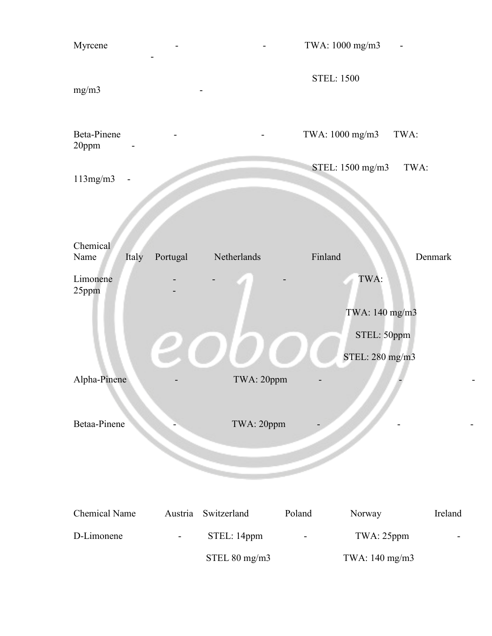| Myrcene                   |          |               |         | TWA: 1000 mg/m3                |         |
|---------------------------|----------|---------------|---------|--------------------------------|---------|
| mg/m3                     |          |               |         | <b>STEL: 1500</b>              |         |
| Beta-Pinene<br>20ppm      |          |               |         | TWA: 1000 mg/m3                | TWA:    |
| 113mg/m3                  |          |               |         | STEL: 1500 mg/m3               | TWA:    |
|                           |          |               |         |                                |         |
| Chemical<br>Italy<br>Name | Portugal | Netherlands   | Finland |                                | Denmark |
| Limonene<br>25ppm         |          |               |         | TWA:<br>TWA: 140 mg/m3         |         |
|                           |          |               |         | STEL: 50ppm<br>STEL: 280 mg/m3 |         |
| Alpha-Pinene              |          | TWA: 20ppm    |         |                                |         |
| Betaa-Pinene              |          | TWA: 20ppm    |         |                                |         |
|                           |          |               |         |                                |         |
| <b>Chemical Name</b>      | Austria  | Switzerland   | Poland  | Norway                         | Ireland |
| D-Limonene                |          | STEL: 14ppm   |         | TWA: 25ppm                     |         |
|                           |          | STEL 80 mg/m3 |         | TWA: 140 mg/m3                 |         |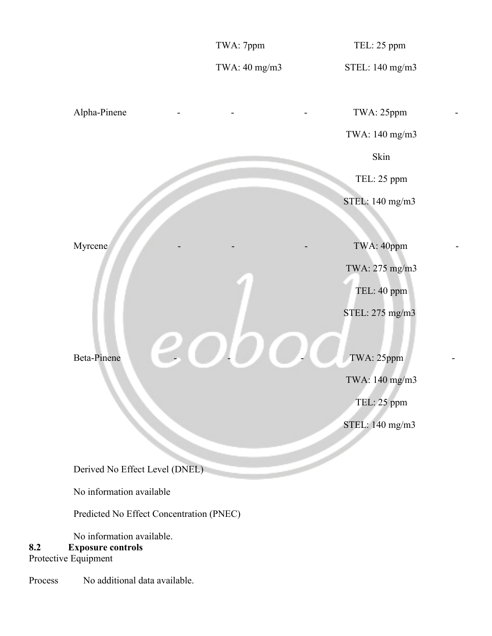TWA: 7ppm TEL: 25 ppm TWA: 40 mg/m3 STEL: 140 mg/m3 Alpha-Pinene - - - - - - - TWA: 25ppm TWA: 140 mg/m3 **Skin**  TEL: 25 ppm STEL: 140 mg/m3 Myrcene TWA: 40ppm TWA: 275 mg/m3 TEL: 40 ppm STEL: 275 mg/m3 Beta-Pinene  $\bigcup_{\text{Beta-Pipen}}$  TWA: 140 mg/m3 TEL: 25 ppm STEL: 140 mg/m3 Derived No Effect Level (DNEL) No information available Predicted No Effect Concentration (PNEC) No information available. **8.2 Exposure controls** Protective Equipment

Process No additional data available.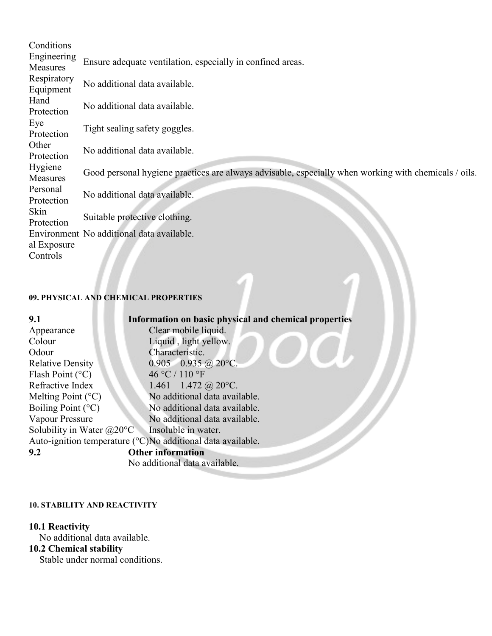| Conditions  |                                                                                                      |  |
|-------------|------------------------------------------------------------------------------------------------------|--|
| Engineering | Ensure adequate ventilation, especially in confined areas.                                           |  |
| Measures    |                                                                                                      |  |
| Respiratory | No additional data available.                                                                        |  |
| Equipment   |                                                                                                      |  |
| Hand        | No additional data available.                                                                        |  |
| Protection  |                                                                                                      |  |
| Eye         | Tight sealing safety goggles.                                                                        |  |
| Protection  |                                                                                                      |  |
| Other       | No additional data available.                                                                        |  |
| Protection  |                                                                                                      |  |
| Hygiene     | Good personal hygiene practices are always advisable, especially when working with chemicals / oils. |  |
| Measures    |                                                                                                      |  |
| Personal    | No additional data available.                                                                        |  |
| Protection  |                                                                                                      |  |
| Skin        | Suitable protective clothing.                                                                        |  |
| Protection  |                                                                                                      |  |
|             | Environment No additional data available.                                                            |  |
| al Exposure |                                                                                                      |  |
| Controls    |                                                                                                      |  |

### **09. PHYSICAL AND CHEMICAL PROPERTIES**

J

| 9.1                                | Information on basic physical and chemical properties                       |  |
|------------------------------------|-----------------------------------------------------------------------------|--|
| Appearance                         | Clear mobile liquid.                                                        |  |
| Colour                             | Liquid, light yellow.                                                       |  |
| Odour                              | Characteristic.                                                             |  |
| <b>Relative Density</b>            | $0.905 - 0.935$ @ 20°C.                                                     |  |
| Flash Point $(^{\circ}C)$          | 46 °C / 110 °F                                                              |  |
| Refractive Index                   | $1.461 - 1.472$ @ 20°C.                                                     |  |
| Melting Point $({}^{\circ}C)$      | No additional data available.                                               |  |
| Boiling Point $(^{\circ}C)$        | No additional data available.                                               |  |
| Vapour Pressure                    | No additional data available.                                               |  |
| Solubility in Water $@20^{\circ}C$ | Insoluble in water.                                                         |  |
|                                    | Auto-ignition temperature $({\rm ^{\circ}C})$ No additional data available. |  |
| <b>Other information</b><br>9.2    |                                                                             |  |
| No additional data available.      |                                                                             |  |

#### **10. STABILITY AND REACTIVITY**

#### **10.1 Reactivity**

No additional data available.

#### **10.2 Chemical stability**

Stable under normal conditions.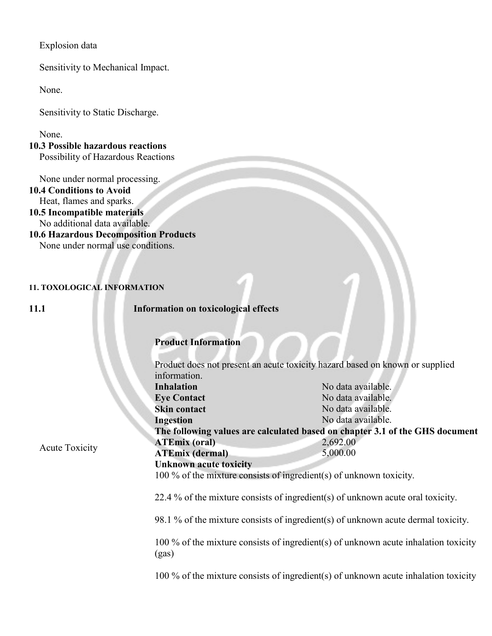Explosion data

Sensitivity to Mechanical Impact.

None.

Sensitivity to Static Discharge.

None.

#### **10.3 Possible hazardous reactions** Possibility of Hazardous Reactions

None under normal processing.

**10.4 Conditions to Avoid** Heat, flames and sparks.

- **10.5 Incompatible materials** No additional data available.
- **10.6 Hazardous Decomposition Products** None under normal use conditions.

#### **11. TOXOLOGICAL INFORMATION**

Acute Toxicity

**11.1 Information on toxicological effects**

#### **Product Information**

|  | Product does not present an acute toxicity hazard based on known or supplied<br>information. |                    |  |  |
|--|----------------------------------------------------------------------------------------------|--------------------|--|--|
|  |                                                                                              |                    |  |  |
|  | <b>Inhalation</b>                                                                            | No data available. |  |  |
|  | <b>Eye Contact</b>                                                                           | No data available. |  |  |
|  | <b>Skin contact</b>                                                                          | No data available. |  |  |
|  | <b>Ingestion</b>                                                                             | No data available. |  |  |
|  | The following values are calculated based on chapter 3.1 of the GHS document                 |                    |  |  |
|  | <b>ATEmix</b> (oral)                                                                         | 2,692.00           |  |  |
|  | <b>ATEmix</b> (dermal)                                                                       | 5,000.00           |  |  |
|  | <b>Unknown acute toxicity</b>                                                                |                    |  |  |
|  | 100 % of the mixture consists of ingredient(s) of unknown toxicity.                          |                    |  |  |
|  |                                                                                              |                    |  |  |
|  | 22.4 % of the mixture consists of ingredient(s) of unknown acute oral toxicity.              |                    |  |  |
|  |                                                                                              |                    |  |  |
|  | 98.1 % of the mixture consists of ingredient(s) of unknown acute dermal toxicity.            |                    |  |  |
|  |                                                                                              |                    |  |  |

100 % of the mixture consists of ingredient(s) of unknown acute inhalation toxicity (gas)

100 % of the mixture consists of ingredient(s) of unknown acute inhalation toxicity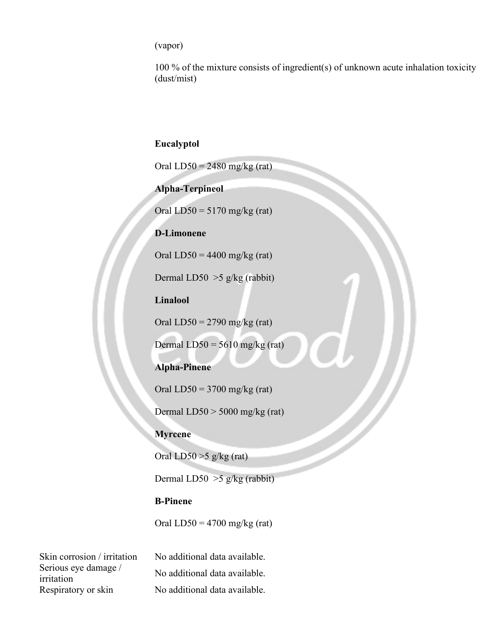(vapor)

100 % of the mixture consists of ingredient(s) of unknown acute inhalation toxicity (dust/mist)

#### **Eucalyptol**

Oral  $LD50 = 2480$  mg/kg (rat)

**Alpha-Terpineol**

Oral  $LD50 = 5170$  mg/kg (rat)

#### **D-Limonene**

Oral  $LD50 = 4400$  mg/kg (rat)

Dermal LD50 >5 g/kg (rabbit)

**Linalool**

Oral  $LD50 = 2790$  mg/kg (rat)

Dermal  $LD50 = 5610$  mg/kg (rat)

#### **Alpha-Pinene**

Oral  $LD50 = 3700$  mg/kg (rat)

Dermal LD50 > 5000 mg/kg (rat)

#### **Myrcene**

Oral  $LD50 > 5$  g/kg (rat)

Dermal LD50 >5 g/kg (rabbit)

### **B-Pinene**

Oral  $LD50 = 4700$  mg/kg (rat)

Serious eye damage / Respiratory or skin No additional data available.

Skin corrosion / irritation No additional data available. Serious eye damage / No additional data available.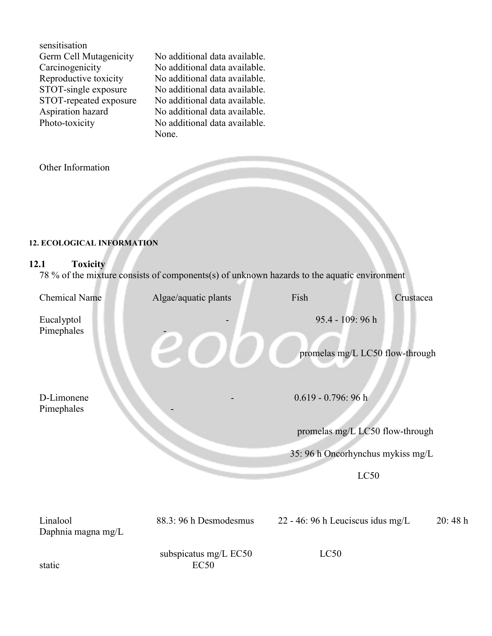| sensitisation          |
|------------------------|
| Germ Cell Mutagenicity |
| Carcinogenicity        |
| Reproductive toxicity  |
| STOT-single exposure   |
| STOT-repeated exposure |
| Aspiration hazard      |
| Photo-toxicity         |
|                        |

No additional data available. No additional data available. No additional data available. No additional data available. No additional data available. No additional data available. No additional data available. None.

Other Information

#### **12. ECOLOGICAL INFORMATION**

#### **12.1 Toxicity**

78 % of the mixture consists of components(s) of unknown hazards to the aquatic environment

| <b>Chemical Name</b>           | Algae/aquatic plants   | Fish<br>Crustacea                                                    |        |
|--------------------------------|------------------------|----------------------------------------------------------------------|--------|
| Eucalyptol<br>Pimephales       |                        | 95.4 - 109: 96 h<br>promelas mg/L LC50 flow-through                  |        |
| D-Limonene                     |                        | $0.619 - 0.796$ : 96 h                                               |        |
| Pimephales                     |                        | promelas mg/L LC50 flow-through<br>35: 96 h Oncorhynchus mykiss mg/L |        |
|                                |                        | LC50                                                                 |        |
| Linalool<br>Daphnia magna mg/L | 88.3: 96 h Desmodesmus | 22 - 46: 96 h Leuciscus idus mg/L                                    | 20:48h |
|                                | subspicatus mg/L EC50  | LC50                                                                 |        |

static EC50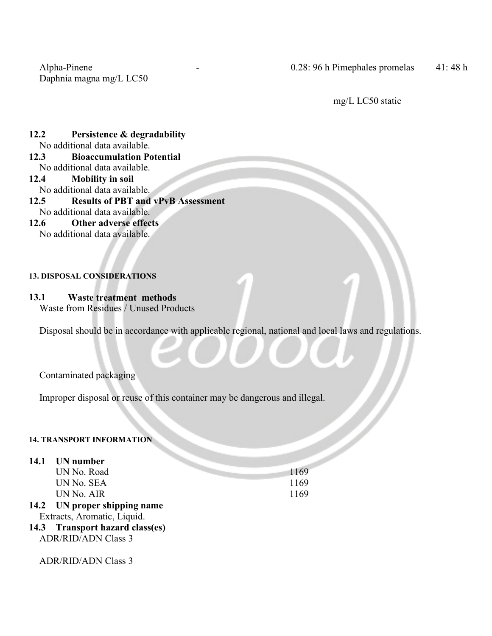Daphnia magna mg/L LC50

mg/L LC50 static

#### **12.2 Persistence & degradability** No additional data available.

- **12.3 Bioaccumulation Potential** No additional data available.
- **12.4 Mobility in soil**
- No additional data available.
- **12.5 Results of PBT and vPvB Assessment** No additional data available.
- **12.6 Other adverse effects** No additional data available.

#### **13. DISPOSAL CONSIDERATIONS**

### **13.1 Waste treatment methods**

Waste from Residues / Unused Products

Disposal should be in accordance with applicable regional, national and local laws and regulations.

Contaminated packaging

Improper disposal or reuse of this container may be dangerous and illegal.

# **14. TRANSPORT INFORMATION**

#### **14.1 UN number**

| UN No. Road                                                     | 1169 |  |
|-----------------------------------------------------------------|------|--|
| UN No. SEA                                                      | 1169 |  |
| UN No. AIR                                                      | 1169 |  |
| 14.2 UN proper shipping name                                    |      |  |
| Extracts, Aromatic, Liquid.                                     |      |  |
| 14.3 Transport hazard class(es)                                 |      |  |
| $\mathbf{r}$ and $\mathbf{r}$ and $\mathbf{r}$ and $\mathbf{r}$ |      |  |

ADR/RID/ADN Class 3

ADR/RID/ADN Class 3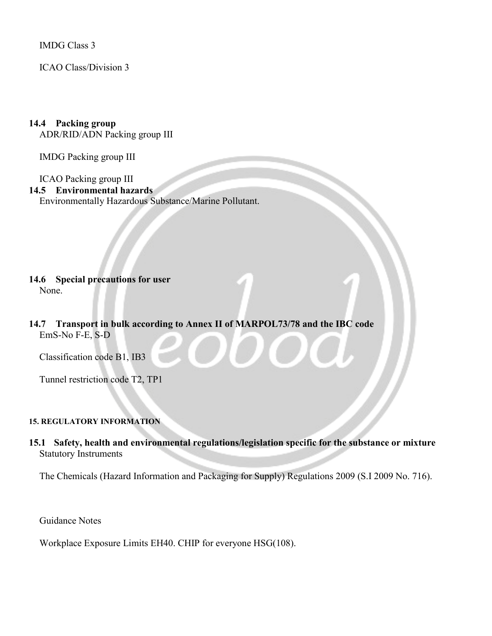IMDG Class 3

ICAO Class/Division 3

# **14.4 Packing group**

ADR/RID/ADN Packing group III

IMDG Packing group III

ICAO Packing group III

#### **14.5 Environmental hazards**

Environmentally Hazardous Substance/Marine Pollutant.

#### **14.6 Special precautions for user** None.

#### **14.7 Transport in bulk according to Annex II of MARPOL73/78 and the IBC code** EmS-No F-E, S-D

Classification code B1, IB3

Tunnel restriction code T2, TP1

#### **15. REGULATORY INFORMATION**

### **15.1 Safety, health and environmental regulations/legislation specific for the substance or mixture** Statutory Instruments

The Chemicals (Hazard Information and Packaging for Supply) Regulations 2009 (S.I 2009 No. 716).

Guidance Notes

Workplace Exposure Limits EH40. CHIP for everyone HSG(108).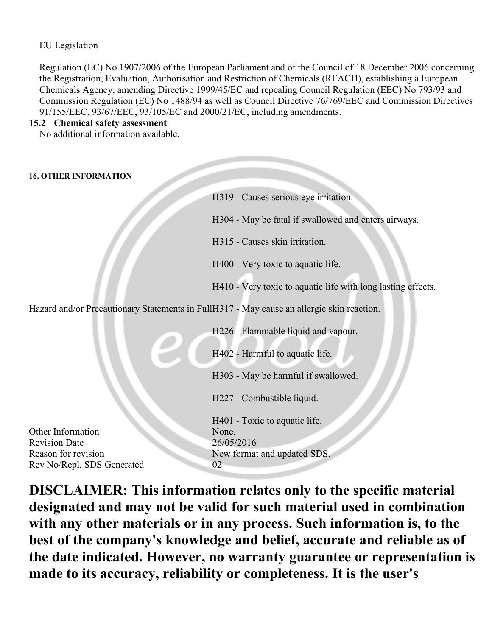### EU Legislation

Regulation (EC) No 1907/2006 of the European Parliament and of the Council of 18 December 2006 concerning the Registration, Evaluation, Authorisation and Restriction of Chemicals (REACH), establishing a European Chemicals Agency, amending Directive 1999/45/EC and repealing Council Regulation (EEC) No 793/93 and Commission Regulation (EC) No 1488/94 as well as Council Directive 76/769/EEC and Commission Directives 91/155/EEC, 93/67/EEC, 93/105/EC and 2000/21/EC, including amendments.

#### **15.2 Chemical safety assessment**

No additional information available.

#### **16. OTHER INFORMATION**

|                                                                                           | H319 - Causes serious eye irritation.                        |  |
|-------------------------------------------------------------------------------------------|--------------------------------------------------------------|--|
|                                                                                           | H304 - May be fatal if swallowed and enters airways.         |  |
|                                                                                           | H315 - Causes skin irritation.                               |  |
|                                                                                           | H400 - Very toxic to aquatic life.                           |  |
|                                                                                           | H410 - Very toxic to aquatic life with long lasting effects. |  |
| Hazard and/or Precautionary Statements in FullH317 - May cause an allergic skin reaction. |                                                              |  |
|                                                                                           | H226 - Flammable liquid and vapour.                          |  |
|                                                                                           | H402 - Harmful to aquatic life.                              |  |
|                                                                                           | H303 - May be harmful if swallowed.                          |  |
|                                                                                           | H227 - Combustible liquid.                                   |  |
|                                                                                           | H401 - Toxic to aquatic life.                                |  |
| Other Information                                                                         | None.                                                        |  |
| <b>Revision Date</b>                                                                      | 26/05/2016                                                   |  |
| Reason for revision                                                                       | New format and updated SDS.                                  |  |
| Rev No/Repl, SDS Generated                                                                | 02                                                           |  |

**DISCLAIMER: This information relates only to the specific material designated and may not be valid for such material used in combination with any other materials or in any process. Such information is, to the best of the company's knowledge and belief, accurate and reliable as of the date indicated. However, no warranty guarantee or representation is made to its accuracy, reliability or completeness. It is the user's**